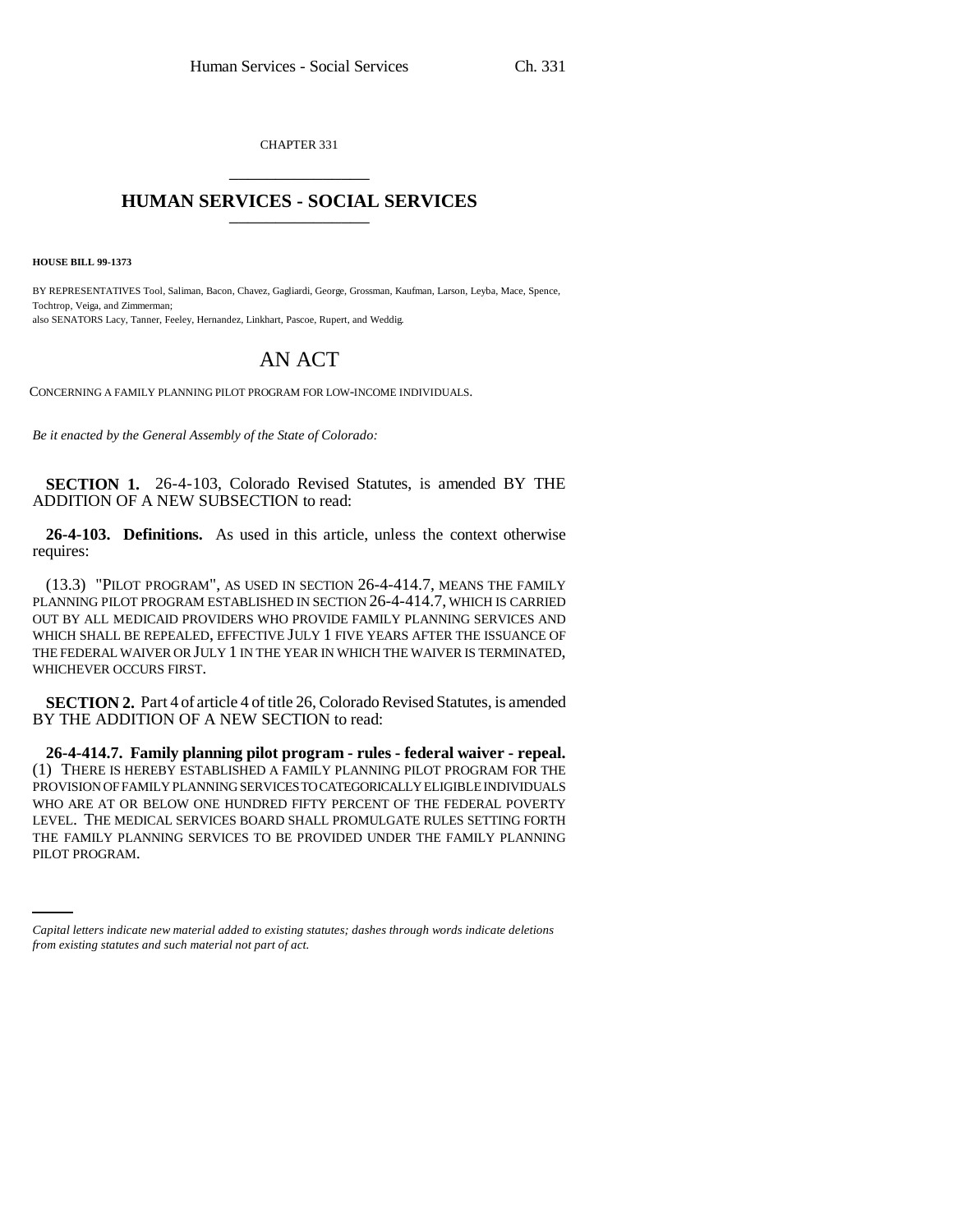CHAPTER 331 \_\_\_\_\_\_\_\_\_\_\_\_\_\_\_

## **HUMAN SERVICES - SOCIAL SERVICES** \_\_\_\_\_\_\_\_\_\_\_\_\_\_\_

**HOUSE BILL 99-1373**

BY REPRESENTATIVES Tool, Saliman, Bacon, Chavez, Gagliardi, George, Grossman, Kaufman, Larson, Leyba, Mace, Spence, Tochtrop, Veiga, and Zimmerman; also SENATORS Lacy, Tanner, Feeley, Hernandez, Linkhart, Pascoe, Rupert, and Weddig.

## AN ACT

CONCERNING A FAMILY PLANNING PILOT PROGRAM FOR LOW-INCOME INDIVIDUALS.

*Be it enacted by the General Assembly of the State of Colorado:*

**SECTION 1.** 26-4-103, Colorado Revised Statutes, is amended BY THE ADDITION OF A NEW SUBSECTION to read:

**26-4-103. Definitions.** As used in this article, unless the context otherwise requires:

(13.3) "PILOT PROGRAM", AS USED IN SECTION 26-4-414.7, MEANS THE FAMILY PLANNING PILOT PROGRAM ESTABLISHED IN SECTION 26-4-414.7, WHICH IS CARRIED OUT BY ALL MEDICAID PROVIDERS WHO PROVIDE FAMILY PLANNING SERVICES AND WHICH SHALL BE REPEALED, EFFECTIVE JULY 1 FIVE YEARS AFTER THE ISSUANCE OF THE FEDERAL WAIVER OR JULY 1 IN THE YEAR IN WHICH THE WAIVER IS TERMINATED, WHICHEVER OCCURS FIRST.

**SECTION 2.** Part 4 of article 4 of title 26, Colorado Revised Statutes, is amended BY THE ADDITION OF A NEW SECTION to read:

THE FAMILY PLANNING SERVICES TO BE PROVIDED UNDER THE FAMILY PLANNING **26-4-414.7. Family planning pilot program - rules - federal waiver - repeal.** (1) THERE IS HEREBY ESTABLISHED A FAMILY PLANNING PILOT PROGRAM FOR THE PROVISION OF FAMILY PLANNING SERVICES TO CATEGORICALLY ELIGIBLE INDIVIDUALS WHO ARE AT OR BELOW ONE HUNDRED FIFTY PERCENT OF THE FEDERAL POVERTY LEVEL. THE MEDICAL SERVICES BOARD SHALL PROMULGATE RULES SETTING FORTH PILOT PROGRAM.

*Capital letters indicate new material added to existing statutes; dashes through words indicate deletions from existing statutes and such material not part of act.*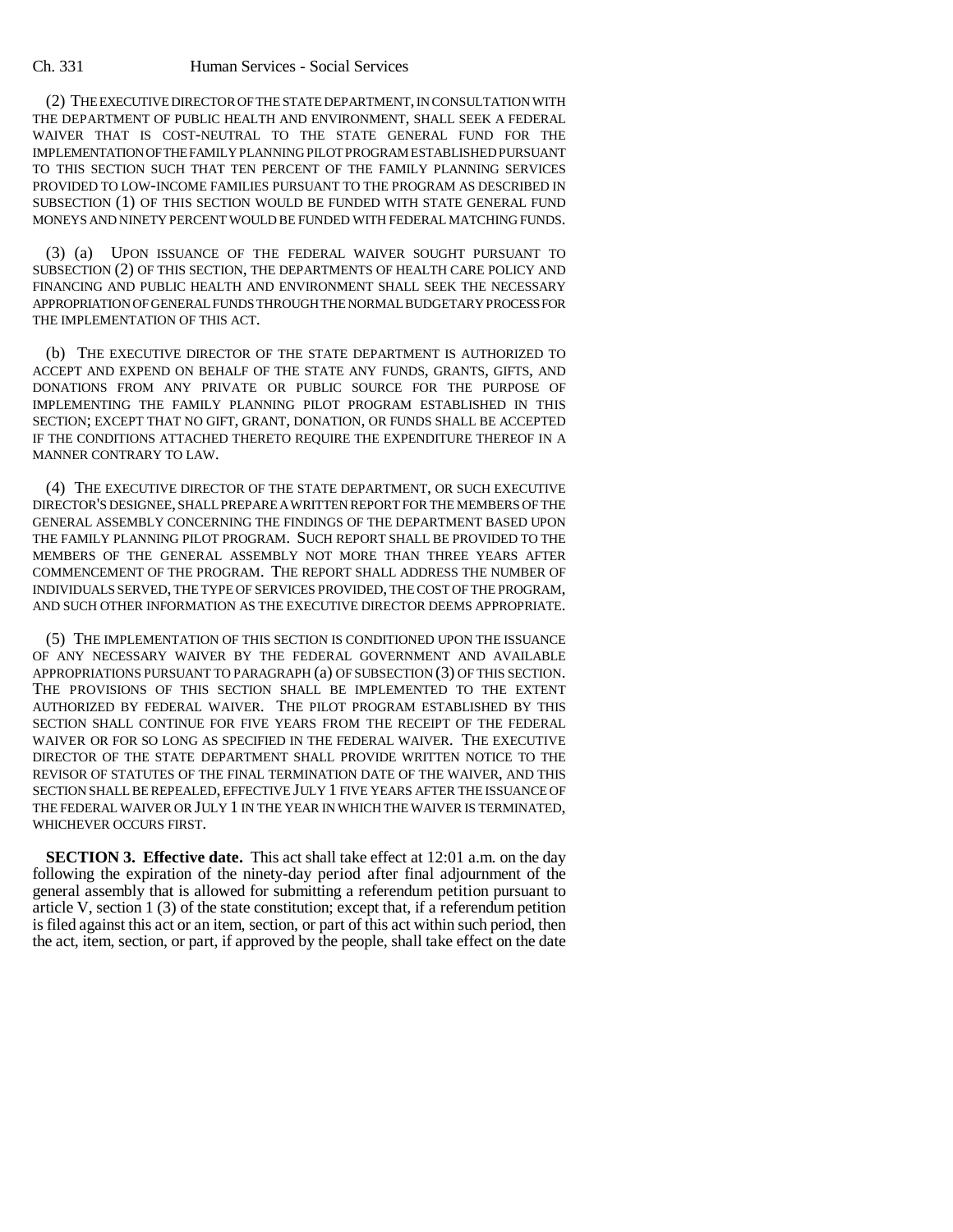## Ch. 331 Human Services - Social Services

(2) THE EXECUTIVE DIRECTOR OF THE STATE DEPARTMENT, IN CONSULTATION WITH THE DEPARTMENT OF PUBLIC HEALTH AND ENVIRONMENT, SHALL SEEK A FEDERAL WAIVER THAT IS COST-NEUTRAL TO THE STATE GENERAL FUND FOR THE IMPLEMENTATION OF THE FAMILY PLANNING PILOT PROGRAM ESTABLISHED PURSUANT TO THIS SECTION SUCH THAT TEN PERCENT OF THE FAMILY PLANNING SERVICES PROVIDED TO LOW-INCOME FAMILIES PURSUANT TO THE PROGRAM AS DESCRIBED IN SUBSECTION (1) OF THIS SECTION WOULD BE FUNDED WITH STATE GENERAL FUND MONEYS AND NINETY PERCENT WOULD BE FUNDED WITH FEDERAL MATCHING FUNDS.

(3) (a) UPON ISSUANCE OF THE FEDERAL WAIVER SOUGHT PURSUANT TO SUBSECTION (2) OF THIS SECTION, THE DEPARTMENTS OF HEALTH CARE POLICY AND FINANCING AND PUBLIC HEALTH AND ENVIRONMENT SHALL SEEK THE NECESSARY APPROPRIATION OF GENERAL FUNDS THROUGH THE NORMAL BUDGETARY PROCESS FOR THE IMPLEMENTATION OF THIS ACT.

(b) THE EXECUTIVE DIRECTOR OF THE STATE DEPARTMENT IS AUTHORIZED TO ACCEPT AND EXPEND ON BEHALF OF THE STATE ANY FUNDS, GRANTS, GIFTS, AND DONATIONS FROM ANY PRIVATE OR PUBLIC SOURCE FOR THE PURPOSE OF IMPLEMENTING THE FAMILY PLANNING PILOT PROGRAM ESTABLISHED IN THIS SECTION; EXCEPT THAT NO GIFT, GRANT, DONATION, OR FUNDS SHALL BE ACCEPTED IF THE CONDITIONS ATTACHED THERETO REQUIRE THE EXPENDITURE THEREOF IN A MANNER CONTRARY TO LAW.

(4) THE EXECUTIVE DIRECTOR OF THE STATE DEPARTMENT, OR SUCH EXECUTIVE DIRECTOR'S DESIGNEE, SHALL PREPARE A WRITTEN REPORT FOR THE MEMBERS OF THE GENERAL ASSEMBLY CONCERNING THE FINDINGS OF THE DEPARTMENT BASED UPON THE FAMILY PLANNING PILOT PROGRAM. SUCH REPORT SHALL BE PROVIDED TO THE MEMBERS OF THE GENERAL ASSEMBLY NOT MORE THAN THREE YEARS AFTER COMMENCEMENT OF THE PROGRAM. THE REPORT SHALL ADDRESS THE NUMBER OF INDIVIDUALS SERVED, THE TYPE OF SERVICES PROVIDED, THE COST OF THE PROGRAM, AND SUCH OTHER INFORMATION AS THE EXECUTIVE DIRECTOR DEEMS APPROPRIATE.

(5) THE IMPLEMENTATION OF THIS SECTION IS CONDITIONED UPON THE ISSUANCE OF ANY NECESSARY WAIVER BY THE FEDERAL GOVERNMENT AND AVAILABLE APPROPRIATIONS PURSUANT TO PARAGRAPH (a) OF SUBSECTION (3) OF THIS SECTION. THE PROVISIONS OF THIS SECTION SHALL BE IMPLEMENTED TO THE EXTENT AUTHORIZED BY FEDERAL WAIVER. THE PILOT PROGRAM ESTABLISHED BY THIS SECTION SHALL CONTINUE FOR FIVE YEARS FROM THE RECEIPT OF THE FEDERAL WAIVER OR FOR SO LONG AS SPECIFIED IN THE FEDERAL WAIVER. THE EXECUTIVE DIRECTOR OF THE STATE DEPARTMENT SHALL PROVIDE WRITTEN NOTICE TO THE REVISOR OF STATUTES OF THE FINAL TERMINATION DATE OF THE WAIVER, AND THIS SECTION SHALL BE REPEALED, EFFECTIVE JULY 1 FIVE YEARS AFTER THE ISSUANCE OF THE FEDERAL WAIVER OR JULY 1 IN THE YEAR IN WHICH THE WAIVER IS TERMINATED, WHICHEVER OCCURS FIRST.

**SECTION 3. Effective date.** This act shall take effect at 12:01 a.m. on the day following the expiration of the ninety-day period after final adjournment of the general assembly that is allowed for submitting a referendum petition pursuant to article V, section 1 (3) of the state constitution; except that, if a referendum petition is filed against this act or an item, section, or part of this act within such period, then the act, item, section, or part, if approved by the people, shall take effect on the date